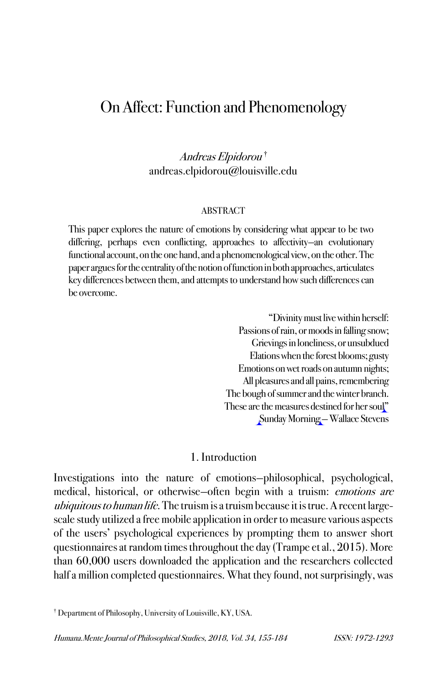# On Affect: Function and Phenomenology

Andreas Elpidorou † andreas.elpidorou@louisville.edu

#### ABSTRACT

This paper explores the nature of emotions by considering what appear to be two differing, perhaps even conflicting, approaches to affectivity—an evolutionary functional account, on the one hand, and a phenomenological view, on the other. The paper argues for the centrality of the notion of function in both approaches, articulates key differences between them, and attempts to understand how such differences can be overcome.

> "Divinity must live within herself: Passions of rain, or moods in falling snow; Grievings in loneliness, or unsubdued Elations when the forest blooms; gusty Emotions on wet roads on autumn nights; All pleasures and all pains, remembering The bough of summer and the winter branch. These are the measures destined for her soul" Sunday Morning —Wallace Stevens

## 1. Introduction

Investigations into the nature of emotions—philosophical, psychological, medical, historical, or otherwise—often begin with a truism: emotions are ubiquitous to human life. The truism is a truism because it is true. A recent largescale study utilized a free mobile application in order to measure various aspects of the users' psychological experiences by prompting them to answer short questionnaires at random times throughout the day (Trampe et al., 2015). More than 60,000 users downloaded the application and the researchers collected half a million completed questionnaires. What they found, not surprisingly, was

<sup>†</sup> Department of Philosophy, University of Louisville, KY, USA.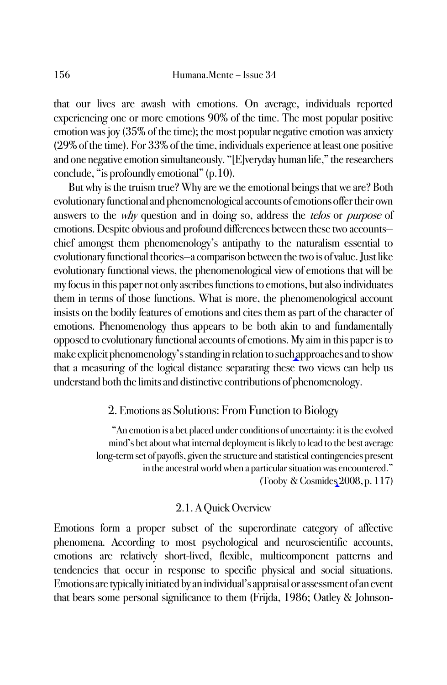that our lives are awash with emotions. On average, individuals reported experiencing one or more emotions 90% of the time. The most popular positive emotion was joy (35% of the time); the most popular negative emotion was anxiety (29% of the time). For 33% of the time, individuals experience at least one positive and one negative emotion simultaneously. "[E]veryday human life," the researchers conclude, "is profoundly emotional" (p.10).

But why is the truism true? Why are we the emotional beings that we are? Both evolutionary functional and phenomenological accounts of emotions offer their own answers to the *why* question and in doing so, address the *telos* or *purpose* of emotions. Despite obvious and profound differences between these two accounts chief amongst them phenomenology's antipathy to the naturalism essential to evolutionary functional theories—a comparison between the two is of value. Just like evolutionary functional views, the phenomenological view of emotions that will be my focus in this paper not only ascribes functions to emotions, but also individuates them in terms of those functions. What is more, the phenomenological account insists on the bodily features of emotions and cites them as part of the character of emotions. Phenomenology thus appears to be both akin to and fundamentally opposed to evolutionary functional accounts of emotions. My aim in this paper is to make explicit phenomenology's standing in relation to such approaches and to show that a measuring of the logical distance separating these two views can help us understand both the limits and distinctive contributions of phenomenology.

# 2. Emotions as Solutions: From Function to Biology

"An emotion is a bet placed under conditions of uncertainty: it is the evolved mind's bet about what internal deployment is likely to lead to the best average long-term set of payoffs, given the structure and statistical contingencies present in the ancestral world when a particular situation was encountered." (Tooby & Cosmides 2008, p. 117)

## 2.1. A Quick Overview

Emotions form a proper subset of the superordinate category of affective phenomena. According to most psychological and neuroscientific accounts, emotions are relatively short-lived, flexible, multicomponent patterns and tendencies that occur in response to specific physical and social situations. Emotions are typically initiated by an individual's appraisal or assessment of an event that bears some personal significance to them (Frijda, 1986; Oatley & Johnson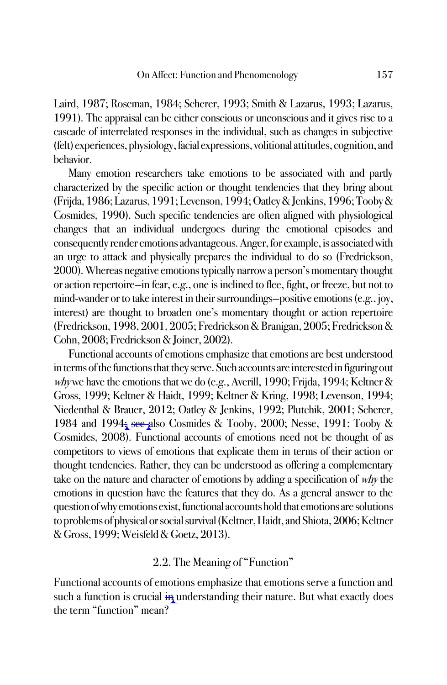Laird, 1987; Roseman, 1984; Scherer, 1993; Smith & Lazarus, 1993; Lazarus, 1991). The appraisal can be either conscious or unconscious and it gives rise to a cascade of interrelated responses in the individual, such as changes in subjective (felt) experiences, physiology, facial expressions, volitional attitudes, cognition, and behavior.

Many emotion researchers take emotions to be associated with and partly characterized by the specific action or thought tendencies that they bring about (Frijda, 1986; Lazarus, 1991; Levenson, 1994; Oatley & Jenkins, 1996; Tooby & Cosmides, 1990). Such specific tendencies are often aligned with physiological changes that an individual undergoes during the emotional episodes and consequently render emotions advantageous. Anger, for example, is associated with an urge to attack and physically prepares the individual to do so (Fredrickson, 2000). Whereas negative emotions typically narrow a person's momentary thought or action repertoire—in fear, e.g., one is inclined to flee, fight, or freeze, but not to mind-wander or to take interest in their surroundings—positive emotions (e.g., joy, interest) are thought to broaden one's momentary thought or action repertoire (Fredrickson, 1998, 2001, 2005; Fredrickson & Branigan, 2005; Fredrickson & Cohn, 2008; Fredrickson & Joiner, 2002).

Functional accounts of emotions emphasize that emotions are best understood in terms of the functions that they serve. Such accounts are interested in figuring out why we have the emotions that we do (e.g., Averill, 1990; Frijda, 1994; Keltner & Gross, 1999; Keltner & Haidt, 1999; Keltner & Kring, 1998; Levenson, 1994; Niedenthal & Brauer, 2012; Oatley & Jenkins, 1992; Plutchik, 2001; Scherer, 1984 and 1994; see also Cosmides & Tooby, 2000; Nesse, 1991; Tooby & Cosmides, 2008). Functional accounts of emotions need not be thought of as competitors to views of emotions that explicate them in terms of their action or thought tendencies. Rather, they can be understood as offering a complementary take on the nature and character of emotions by adding a specification of why the emotions in question have the features that they do. As a general answer to the question of why emotions exist, functional accounts hold that emotions are solutions to problems of physical or social survival (Keltner, Haidt, and Shiota, 2006; Keltner & Gross, 1999; Weisfeld & Goetz, 2013).

### 2.2. The Meaning of "Function"

Functional accounts of emotions emphasize that emotions serve a function and such a function is crucial  $\frac{1}{11}$  understanding their nature. But what exactly does the term "function" mean?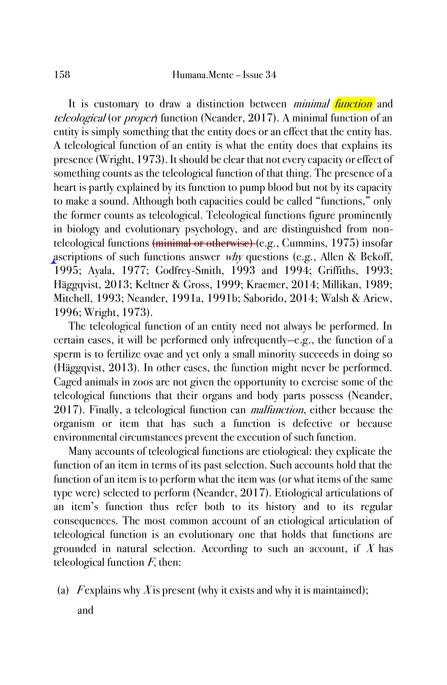It is customary to draw a distinction between *minimal function* and teleological (or proper) function (Neander, 2017). A minimal function of an entity is simply something that the entity does or an effect that the entity has. A teleological function of an entity is what the entity does that explains its presence (Wright, 1973). It should be clear that not every capacity or effect of something counts as the teleological function of that thing. The presence of a heart is partly explained by its function to pump blood but not by its capacity to make a sound. Although both capacities could be called "functions," only the former counts as teleological. Teleological functions figure prominently in biology and evolutionary psychology, and are distinguished from nonteleological functions (minimal or otherwise) (e.g., Cummins, 1975) insofar ascriptions of such functions answer why questions (e.g., Allen & Bekoff, 1995; Ayala, 1977; Godfrey-Smith, 1993 and 1994; Griffiths, 1993; Häggqvist, 2013; Keltner & Gross, 1999; Kraemer, 2014; Millikan, 1989; Mitchell, 1993; Neander, 1991a, 1991b; Saborido, 2014; Walsh & Ariew, 1996; Wright, 1973).

The teleological function of an entity need not always be performed. In certain cases, it will be performed only infrequently—e.g., the function of a sperm is to fertilize ovae and yet only a small minority succeeds in doing so (Häggqvist, 2013). In other cases, the function might never be performed. Caged animals in zoos are not given the opportunity to exercise some of the teleological functions that their organs and body parts possess (Neander, 2017). Finally, a teleological function can *malfunction*, either because the organism or item that has such a function is defective or because environmental circumstances prevent the execution of such function.

Many accounts of teleological functions are etiological: they explicate the function of an item in terms of its past selection. Such accounts hold that the function of an item is to perform what the item was (or what items of the same type were) selected to perform (Neander, 2017). Etiological articulations of an item's function thus refer both to its history and to its regular consequences. The most common account of an etiological articulation of teleological function is an evolutionary one that holds that functions are grounded in natural selection. According to such an account, if  $X$  has teleological function  $F$ , then:

(a) F explains why X is present (why it exists and why it is maintained);

and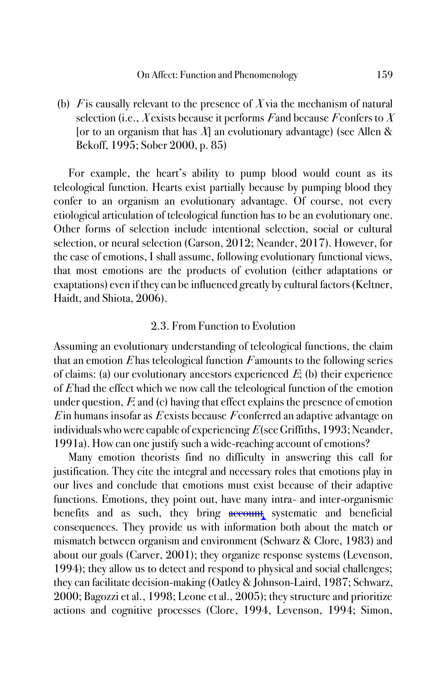(b) F is causally relevant to the presence of X via the mechanism of natural selection (i.e., X exists because it performs F and because F confers to X [or to an organism that has  $X$ ] an evolutionary advantage) (see Allen & Bekoff, 1995; Sober 2000, p. 85)

For example, the heart's ability to pump blood would count as its teleological function. Hearts exist partially because by pumping blood they confer to an organism an evolutionary advantage. Of course, not every etiological articulation of teleological function has to be an evolutionary one. Other forms of selection include intentional selection, social or cultural selection, or neural selection (Garson, 2012; Neander, 2017). However, for the case of emotions, I shall assume, following evolutionary functional views, that most emotions are the products of evolution (either adaptations or exaptations) even if they can be influenced greatly by cultural factors (Keltner, Haidt, and Shiota, 2006).

## 2.3. From Function to Evolution

Assuming an evolutionary understanding of teleological functions, the claim that an emotion  $E$  has teleological function  $F$  amounts to the following series of claims: (a) our evolutionary ancestors experienced  $E$ ; (b) their experience of  $E$  had the effect which we now call the teleological function of the emotion under question,  $F$ , and (c) having that effect explains the presence of emotion  $E$  in humans insofar as  $E$  exists because  $F$  conferred an adaptive advantage on individuals who were capable of experiencing  $E$  (see Griffiths, 1993; Neander, 1991a). How can one justify such a wide-reaching account of emotions?

Many emotion theorists find no difficulty in answering this call for justification. They cite the integral and necessary roles that emotions play in our lives and conclude that emotions must exist because of their adaptive functions. Emotions, they point out, have many intra- and inter-organismic benefits and as such, they bring account systematic and beneficial consequences. They provide us with information both about the match or mismatch between organism and environment (Schwarz & Clore, 1983) and about our goals (Carver, 2001); they organize response systems (Levenson, 1994); they allow us to detect and respond to physical and social challenges; they can facilitate decision-making (Oatley & Johnson-Laird, 1987; Schwarz, 2000; Bagozzi et al., 1998; Leone et al., 2005); they structure and prioritize actions and cognitive processes (Clore, 1994, Levenson, 1994; Simon,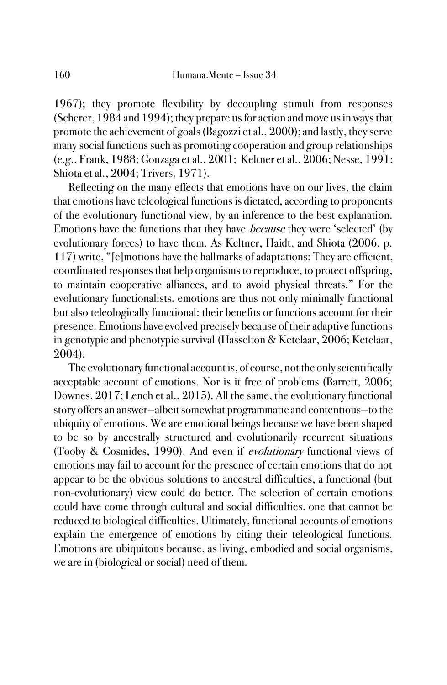1967); they promote flexibility by decoupling stimuli from responses (Scherer, 1984 and 1994); they prepare us for action and move us in ways that promote the achievement of goals (Bagozzi et al., 2000); and lastly, they serve many social functions such as promoting cooperation and group relationships (e.g., Frank, 1988; Gonzaga et al., 2001; Keltner et al., 2006; Nesse, 1991; Shiota et al., 2004; Trivers, 1971).

Reflecting on the many effects that emotions have on our lives, the claim that emotions have teleological functions is dictated, according to proponents of the evolutionary functional view, by an inference to the best explanation. Emotions have the functions that they have because they were 'selected' (by evolutionary forces) to have them. As Keltner, Haidt, and Shiota (2006, p. 117) write, "[e]motions have the hallmarks of adaptations: They are efficient, coordinated responses that help organisms to reproduce, to protect offspring, to maintain cooperative alliances, and to avoid physical threats." For the evolutionary functionalists, emotions are thus not only minimally functional but also teleologically functional: their benefits or functions account for their presence. Emotions have evolved precisely because of their adaptive functions in genotypic and phenotypic survival (Hasselton & Ketelaar, 2006; Ketelaar, 2004).

The evolutionary functional account is, of course, not the only scientifically acceptable account of emotions. Nor is it free of problems (Barrett, 2006; Downes, 2017; Lench et al., 2015). All the same, the evolutionary functional story offers an answer—albeit somewhat programmatic and contentious—to the ubiquity of emotions. We are emotional beings because we have been shaped to be so by ancestrally structured and evolutionarily recurrent situations (Tooby & Cosmides, 1990). And even if evolutionary functional views of emotions may fail to account for the presence of certain emotions that do not appear to be the obvious solutions to ancestral difficulties, a functional (but non-evolutionary) view could do better. The selection of certain emotions could have come through cultural and social difficulties, one that cannot be reduced to biological difficulties. Ultimately, functional accounts of emotions explain the emergence of emotions by citing their teleological functions. Emotions are ubiquitous because, as living, embodied and social organisms, we are in (biological or social) need of them.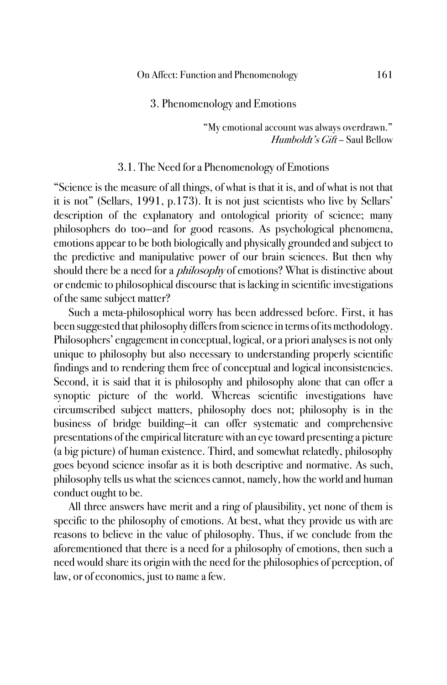#### 3. Phenomenology and Emotions

"My emotional account was always overdrawn." Humboldt's Gift – Saul Bellow

#### 3.1. The Need for a Phenomenology of Emotions

"Science is the measure of all things, of what is that it is, and of what is not that it is not" (Sellars, 1991, p.173). It is not just scientists who live by Sellars' description of the explanatory and ontological priority of science; many philosophers do too—and for good reasons. As psychological phenomena, emotions appear to be both biologically and physically grounded and subject to the predictive and manipulative power of our brain sciences. But then why should there be a need for a *philosophy* of emotions? What is distinctive about or endemic to philosophical discourse that is lacking in scientific investigations of the same subject matter?

Such a meta-philosophical worry has been addressed before. First, it has been suggested that philosophy differs from science in terms of its methodology. Philosophers' engagement in conceptual, logical, or a priori analyses is not only unique to philosophy but also necessary to understanding properly scientific findings and to rendering them free of conceptual and logical inconsistencies. Second, it is said that it is philosophy and philosophy alone that can offer a synoptic picture of the world. Whereas scientific investigations have circumscribed subject matters, philosophy does not; philosophy is in the business of bridge building—it can offer systematic and comprehensive presentations of the empirical literature with an eye toward presenting a picture (a big picture) of human existence. Third, and somewhat relatedly, philosophy goes beyond science insofar as it is both descriptive and normative. As such, philosophy tells us what the sciences cannot, namely, how the world and human conduct ought to be.

All three answers have merit and a ring of plausibility, yet none of them is specific to the philosophy of emotions. At best, what they provide us with are reasons to believe in the value of philosophy. Thus, if we conclude from the aforementioned that there is a need for a philosophy of emotions, then such a need would share its origin with the need for the philosophies of perception, of law, or of economics, just to name a few.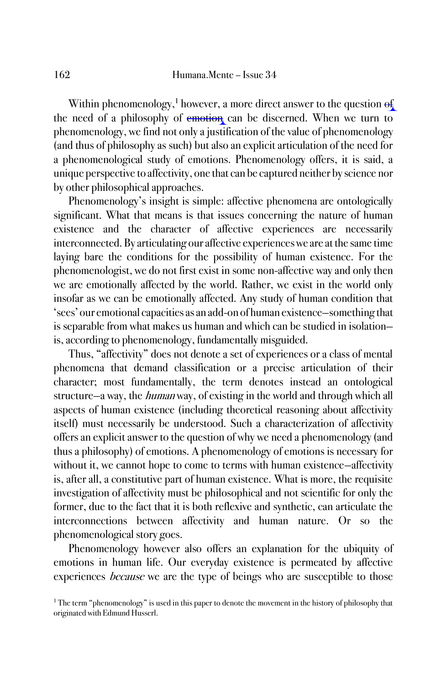Within phenomenology, $^1$  however, a more direct answer to the question  $\Theta_{\!\!\rm f}$ the need of a philosophy of emotion can be discerned. When we turn to phenomenology, we find not only a justification of the value of phenomenology (and thus of philosophy as such) but also an explicit articulation of the need for a phenomenological study of emotions. Phenomenology offers, it is said, a unique perspective to affectivity, one that can be captured neither by science nor by other philosophical approaches.

Phenomenology's insight is simple: affective phenomena are ontologically significant. What that means is that issues concerning the nature of human existence and the character of affective experiences are necessarily interconnected. By articulating our affective experiences we are at the same time laying bare the conditions for the possibility of human existence. For the phenomenologist, we do not first exist in some non-affective way and only then we are emotionally affected by the world. Rather, we exist in the world only insofar as we can be emotionally affected. Any study of human condition that 'sees' our emotional capacities as an add-on of human existence—something that is separable from what makes us human and which can be studied in isolation is, according to phenomenology, fundamentally misguided.

Thus, "affectivity" does not denote a set of experiences or a class of mental phenomena that demand classification or a precise articulation of their character; most fundamentally, the term denotes instead an ontological structure—a way, the human way, of existing in the world and through which all aspects of human existence (including theoretical reasoning about affectivity itself) must necessarily be understood. Such a characterization of affectivity offers an explicit answer to the question of why we need a phenomenology (and thus a philosophy) of emotions. A phenomenology of emotions is necessary for without it, we cannot hope to come to terms with human existence—affectivity is, after all, a constitutive part of human existence. What is more, the requisite investigation of affectivity must be philosophical and not scientific for only the former, due to the fact that it is both reflexive and synthetic, can articulate the interconnections between affectivity and human nature. Or so the phenomenological story goes.

Phenomenology however also offers an explanation for the ubiquity of emotions in human life. Our everyday existence is permeated by affective experiences because we are the type of beings who are susceptible to those

 $1$  The term "phenomenology" is used in this paper to denote the movement in the history of philosophy that originated with Edmund Husserl.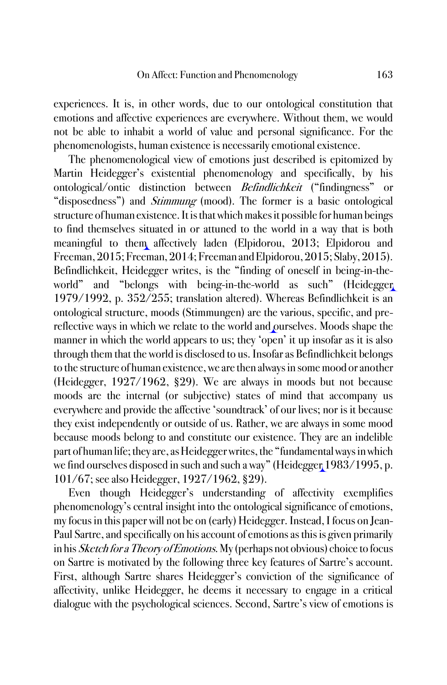experiences. It is, in other words, due to our ontological constitution that emotions and affective experiences are everywhere. Without them, we would not be able to inhabit a world of value and personal significance. For the phenomenologists, human existence is necessarily emotional existence.

The phenomenological view of emotions just described is epitomized by Martin Heidegger's existential phenomenology and specifically, by his ontological/ontic distinction between Befindlichkeit ("findingness" or "disposedness") and *Stimmung* (mood). The former is a basic ontological structure of human existence. It is that which makes it possible for human beings to find themselves situated in or attuned to the world in a way that is both meaningful to them affectively laden (Elpidorou, 2013; Elpidorou and Freeman, 2015; Freeman, 2014; Freeman and Elpidorou, 2015; Slaby, 2015). Befindlichkeit, Heidegger writes, is the "finding of oneself in being-in-theworld" and "belongs with being-in-the-world as such" (Heidegger 1979/1992, p. 352/255; translation altered). Whereas Befindlichkeit is an ontological structure, moods (Stimmungen) are the various, specific, and prereflective ways in which we relate to the world and ourselves. Moods shape the manner in which the world appears to us; they 'open' it up insofar as it is also through them that the world is disclosed to us. Insofar as Befindlichkeit belongs to the structure of human existence, we are then always in some mood or another (Heidegger, 1927/1962, §29). We are always in moods but not because moods are the internal (or subjective) states of mind that accompany us everywhere and provide the affective 'soundtrack' of our lives; nor is it because they exist independently or outside of us. Rather, we are always in some mood because moods belong to and constitute our existence. They are an indelible part of human life; they are, as Heidegger writes, the "fundamental ways in which we find ourselves disposed in such and such a way" (Heidegger 1983/1995, p. 101/67; see also Heidegger, 1927/1962, §29).

Even though Heidegger's understanding of affectivity exemplifies phenomenology's central insight into the ontological significance of emotions, my focus in this paper will not be on (early) Heidegger. Instead, I focus on Jean-Paul Sartre, and specifically on his account of emotions as this is given primarily in his Sketch for a Theory of Emotions. My (perhaps not obvious) choice to focus on Sartre is motivated by the following three key features of Sartre's account. First, although Sartre shares Heidegger's conviction of the significance of affectivity, unlike Heidegger, he deems it necessary to engage in a critical dialogue with the psychological sciences. Second, Sartre's view of emotions is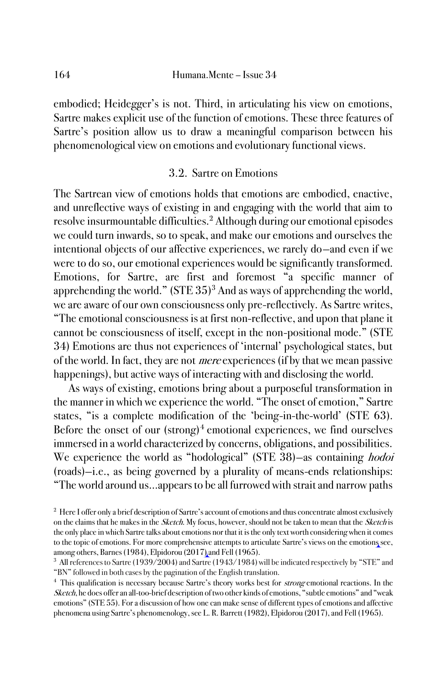embodied; Heidegger's is not. Third, in articulating his view on emotions, Sartre makes explicit use of the function of emotions. These three features of Sartre's position allow us to draw a meaningful comparison between his phenomenological view on emotions and evolutionary functional views.

# 3.2. Sartre on Emotions

The Sartrean view of emotions holds that emotions are embodied, enactive, and unreflective ways of existing in and engaging with the world that aim to resolve insurmountable difficulties.<sup>2</sup> Although during our emotional episodes we could turn inwards, so to speak, and make our emotions and ourselves the intentional objects of our affective experiences, we rarely do—and even if we were to do so, our emotional experiences would be significantly transformed. Emotions, for Sartre, are first and foremost "a specific manner of apprehending the world."  $(STE 35)^3$  And as ways of apprehending the world, we are aware of our own consciousness only pre-reflectively. As Sartre writes, "The emotional consciousness is at first non-reflective, and upon that plane it cannot be consciousness of itself, except in the non-positional mode." (STE 34) Emotions are thus not experiences of 'internal' psychological states, but of the world. In fact, they are not mere experiences (if by that we mean passive happenings), but active ways of interacting with and disclosing the world.

As ways of existing, emotions bring about a purposeful transformation in the manner in which we experience the world. "The onset of emotion," Sartre states, "is a complete modification of the 'being-in-the-world' (STE 63). Before the onset of our (strong)<sup>4</sup> emotional experiences, we find ourselves immersed in a world characterized by concerns, obligations, and possibilities. We experience the world as "hodological" (STE 38)—as containing *hodoi* (roads)—i.e., as being governed by a plurality of means-ends relationships: "The world around us…appears to be all furrowed with strait and narrow paths

<sup>&</sup>lt;sup>2</sup> Here I offer only a brief description of Sartre's account of emotions and thus concentrate almost exclusively on the claims that he makes in the *Sketch*. My focus, however, should not be taken to mean that the *Sketch* is the only place in which Sartre talks about emotions nor that it is the only text worth considering when it comes to the topic of emotions. For more comprehensive attempts to articulate Sartre's views on the emotions see, among others, Barnes (1984), Elpidorou (2017) and Fell (1965).

<sup>3</sup> All references to Sartre (1939/2004) and Sartre (1943/1984) will be indicated respectively by "STE" and "BN" followed in both cases by the pagination of the English translation.

<sup>&</sup>lt;sup>4</sup> This qualification is necessary because Sartre's theory works best for *strong* emotional reactions. In the Sketch, he does offer an all-too-brief description of two other kinds of emotions, "subtle emotions" and "weak emotions" (STE 55). For a discussion of how one can make sense of different types of emotions and affective phenomena using Sartre's phenomenology, see L. R. Barrett (1982), Elpidorou (2017), and Fell (1965).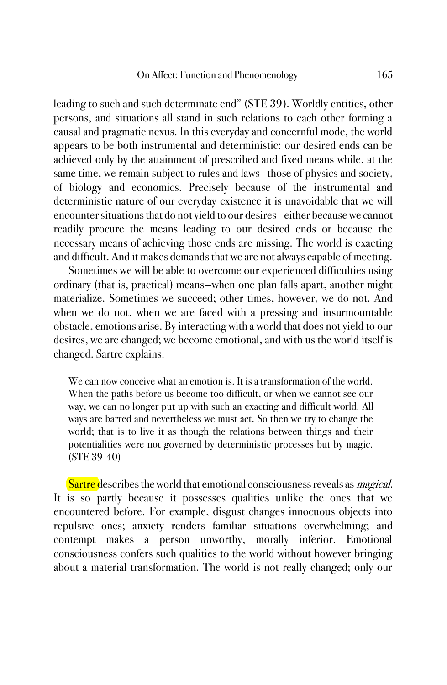leading to such and such determinate end" (STE 39). Worldly entities, other persons, and situations all stand in such relations to each other forming a causal and pragmatic nexus. In this everyday and concernful mode, the world appears to be both instrumental and deterministic: our desired ends can be achieved only by the attainment of prescribed and fixed means while, at the same time, we remain subject to rules and laws—those of physics and society, of biology and economics. Precisely because of the instrumental and deterministic nature of our everyday existence it is unavoidable that we will encounter situations that do not yield to our desires—either because we cannot readily procure the means leading to our desired ends or because the necessary means of achieving those ends are missing. The world is exacting and difficult. And it makes demands that we are not always capable of meeting.

Sometimes we will be able to overcome our experienced difficulties using ordinary (that is, practical) means—when one plan falls apart, another might materialize. Sometimes we succeed; other times, however, we do not. And when we do not, when we are faced with a pressing and insurmountable obstacle, emotions arise. By interacting with a world that does not yield to our desires, we are changed; we become emotional, and with us the world itself is changed. Sartre explains:

We can now conceive what an emotion is. It is a transformation of the world. When the paths before us become too difficult, or when we cannot see our way, we can no longer put up with such an exacting and difficult world. All ways are barred and nevertheless we must act. So then we try to change the world; that is to live it as though the relations between things and their potentialities were not governed by deterministic processes but by magic. (STE 39-40)

Sartre describes the world that emotional consciousness reveals as *magical*. It is so partly because it possesses qualities unlike the ones that we encountered before. For example, disgust changes innocuous objects into repulsive ones; anxiety renders familiar situations overwhelming; and contempt makes a person unworthy, morally inferior. Emotional consciousness confers such qualities to the world without however bringing about a material transformation. The world is not really changed; only our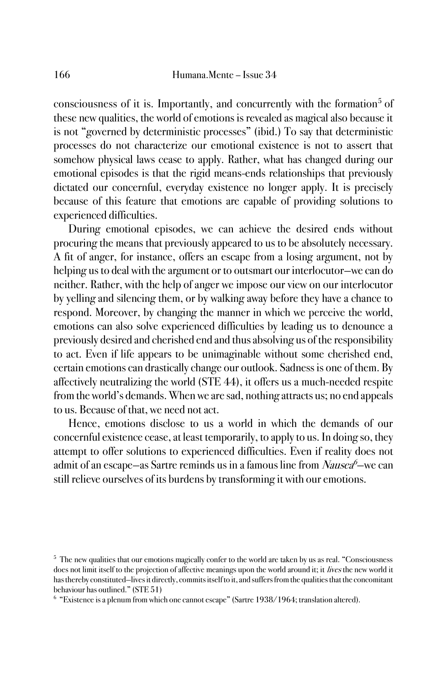consciousness of it is. Importantly, and concurrently with the formation<sup>5</sup> of these new qualities, the world of emotions is revealed as magical also because it is not "governed by deterministic processes" (ibid.) To say that deterministic processes do not characterize our emotional existence is not to assert that somehow physical laws cease to apply. Rather, what has changed during our emotional episodes is that the rigid means-ends relationships that previously dictated our concernful, everyday existence no longer apply. It is precisely because of this feature that emotions are capable of providing solutions to experienced difficulties.

During emotional episodes, we can achieve the desired ends without procuring the means that previously appeared to us to be absolutely necessary. A fit of anger, for instance, offers an escape from a losing argument, not by helping us to deal with the argument or to outsmart our interlocutor—we can do neither. Rather, with the help of anger we impose our view on our interlocutor by yelling and silencing them, or by walking away before they have a chance to respond. Moreover, by changing the manner in which we perceive the world, emotions can also solve experienced difficulties by leading us to denounce a previously desired and cherished end and thus absolving us of the responsibility to act. Even if life appears to be unimaginable without some cherished end, certain emotions can drastically change our outlook. Sadness is one of them. By affectively neutralizing the world (STE 44), it offers us a much-needed respite from the world's demands. When we are sad, nothing attracts us; no end appeals to us. Because of that, we need not act.

Hence, emotions disclose to us a world in which the demands of our concernful existence cease, at least temporarily, to apply to us. In doing so, they attempt to offer solutions to experienced difficulties. Even if reality does not admit of an escape—as Sartre reminds us in a famous line from *Nausea<sup>6</sup>—*we can still relieve ourselves of its burdens by transforming it with our emotions.

<sup>5</sup> The new qualities that our emotions magically confer to the world are taken by us as real. "Consciousness does not limit itself to the projection of affective meanings upon the world around it; it lives the new world it has thereby constituted—lives it directly, commits itself to it, and suffers from the qualities that the concomitant behaviour has outlined." (STE 51)

<sup>&</sup>lt;sup>6</sup> "Existence is a plenum from which one cannot escape" (Sartre 1938/1964; translation altered).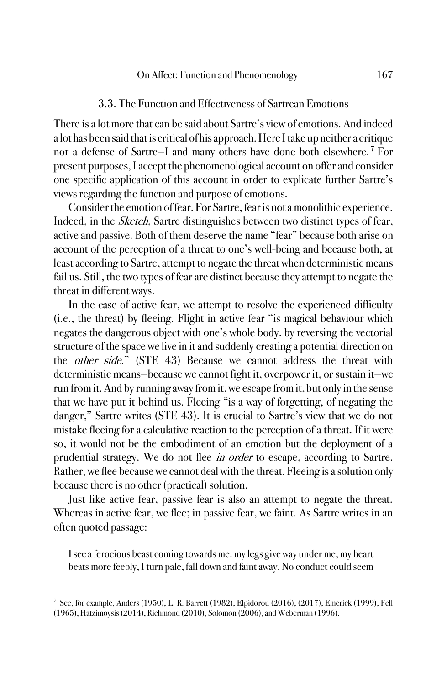#### 3.3. The Function and Effectiveness of Sartrean Emotions

There is a lot more that can be said about Sartre's view of emotions. And indeed a lot has been said that is critical of his approach. Here I take up neither a critique nor a defense of Sartre—I and many others have done both elsewhere. <sup>7</sup> For present purposes, I accept the phenomenological account on offer and consider one specific application of this account in order to explicate further Sartre's views regarding the function and purpose of emotions.

Consider the emotion of fear. For Sartre, fear is not a monolithic experience. Indeed, in the Sketch, Sartre distinguishes between two distinct types of fear, active and passive. Both of them deserve the name "fear" because both arise on account of the perception of a threat to one's well-being and because both, at least according to Sartre, attempt to negate the threat when deterministic means fail us. Still, the two types of fear are distinct because they attempt to negate the threat in different ways.

In the case of active fear, we attempt to resolve the experienced difficulty (i.e., the threat) by fleeing. Flight in active fear "is magical behaviour which negates the dangerous object with one's whole body, by reversing the vectorial structure of the space we live in it and suddenly creating a potential direction on the other side." (STE 43) Because we cannot address the threat with deterministic means—because we cannot fight it, overpower it, or sustain it—we run from it. And by running away from it, we escape from it, but only in the sense that we have put it behind us. Fleeing "is a way of forgetting, of negating the danger," Sartre writes (STE 43). It is crucial to Sartre's view that we do not mistake fleeing for a calculative reaction to the perception of a threat. If it were so, it would not be the embodiment of an emotion but the deployment of a prudential strategy. We do not flee in order to escape, according to Sartre. Rather, we flee because we cannot deal with the threat. Fleeing is a solution only because there is no other (practical) solution.

Just like active fear, passive fear is also an attempt to negate the threat. Whereas in active fear, we flee; in passive fear, we faint. As Sartre writes in an often quoted passage:

I see a ferocious beast coming towards me: my legs give way under me, my heart beats more feebly, I turn pale, fall down and faint away. No conduct could seem

<sup>7</sup> See, for example, Anders (1950), L. R. Barrett (1982), Elpidorou (2016), (2017), Emerick (1999), Fell (1965), Hatzimoysis (2014), Richmond (2010), Solomon (2006), and Weberman (1996).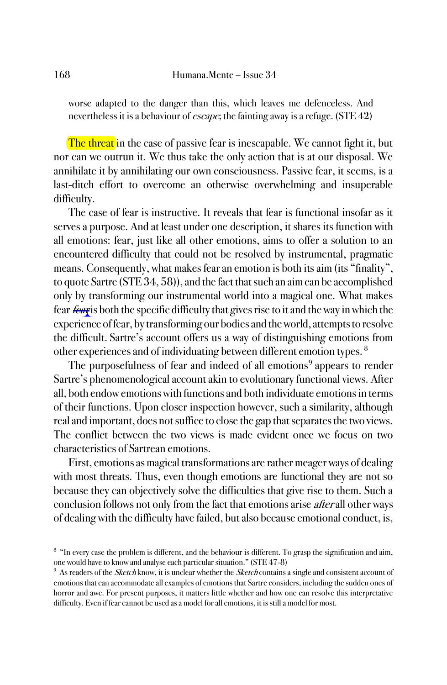worse adapted to the danger than this, which leaves me defenceless. And nevertheless it is a behaviour of *escape*; the fainting away is a refuge. (STE 42)

The threat in the case of passive fear is inescapable. We cannot fight it, but nor can we outrun it. We thus take the only action that is at our disposal. We annihilate it by annihilating our own consciousness. Passive fear, it seems, is a last-ditch effort to overcome an otherwise overwhelming and insuperable difficulty.

The case of fear is instructive. It reveals that fear is functional insofar as it serves a purpose. And at least under one description, it shares its function with all emotions: fear, just like all other emotions, aims to offer a solution to an encountered difficulty that could not be resolved by instrumental, pragmatic means. Consequently, what makes fear an emotion is both its aim (its "finality", to quote Sartre (STE 34, 58)), and the fact that such an aim can be accomplished only by transforming our instrumental world into a magical one. What makes fear fear is both the specific difficulty that gives rise to it and the way in which the experience of fear, by transforming our bodies and the world, attempts to resolve the difficult. Sartre's account offers us a way of distinguishing emotions from other experiences and of individuating between different emotion types. <sup>8</sup>

The purposefulness of fear and indeed of all emotions<sup>9</sup> appears to render Sartre's phenomenological account akin to evolutionary functional views. After all, both endow emotions with functions and both individuate emotions in terms of their functions. Upon closer inspection however, such a similarity, although real and important, does not suffice to close the gap that separates the two views. The conflict between the two views is made evident once we focus on two characteristics of Sartrean emotions.

First, emotions as magical transformations are rather meager ways of dealing with most threats. Thus, even though emotions are functional they are not so because they can objectively solve the difficulties that give rise to them. Such a conclusion follows not only from the fact that emotions arise afterall other ways of dealing with the difficulty have failed, but also because emotional conduct, is,

<sup>&</sup>lt;sup>8</sup> "In every case the problem is different, and the behaviour is different. To grasp the signification and aim, one would have to know and analyse each particular situation." (STE 47-8)

<sup>&</sup>lt;sup>9</sup> As readers of the *Sketch* know, it is unclear whether the *Sketch* contains a single and consistent account of emotions that can accommodate all examples of emotions that Sartre considers, including the sudden ones of horror and awe. For present purposes, it matters little whether and how one can resolve this interpretative difficulty. Even if fear cannot be used as a model for all emotions, it is still a model for most.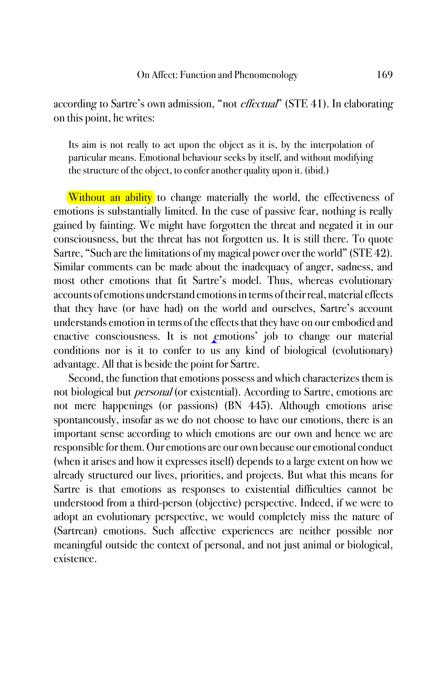according to Sartre's own admission, "not *effectual*" (STE 41). In elaborating on this point, he writes:

Its aim is not really to act upon the object as it is, by the interpolation of particular means. Emotional behaviour seeks by itself, and without modifying the structure of the object, to confer another quality upon it. (ibid.)

**Without an ability** to change materially the world, the effectiveness of emotions is substantially limited. In the case of passive fear, nothing is really gained by fainting. We might have forgotten the threat and negated it in our consciousness, but the threat has not forgotten us. It is still there. To quote Sartre, "Such are the limitations of my magical power over the world" (STE 42). Similar comments can be made about the inadequacy of anger, sadness, and most other emotions that fit Sartre's model. Thus, whereas evolutionary accounts of emotions understand emotions in terms of their real, material effects that they have (or have had) on the world and ourselves, Sartre's account understands emotion in terms of the effects that they have on our embodied and enactive consciousness. It is not emotions' job to change our material conditions nor is it to confer to us any kind of biological (evolutionary) advantage. All that is beside the point for Sartre.

Second, the function that emotions possess and which characterizes them is not biological but *personal* (or existential). According to Sartre, emotions are not mere happenings (or passions) (BN 445). Although emotions arise spontaneously, insofar as we do not choose to have our emotions, there is an important sense according to which emotions are our own and hence we are responsible for them. Our emotions are our own because our emotional conduct (when it arises and how it expresses itself) depends to a large extent on how we already structured our lives, priorities, and projects. But what this means for Sartre is that emotions as responses to existential difficulties cannot be understood from a third-person (objective) perspective. Indeed, if we were to adopt an evolutionary perspective, we would completely miss the nature of (Sartrean) emotions. Such affective experiences are neither possible nor meaningful outside the context of personal, and not just animal or biological, existence.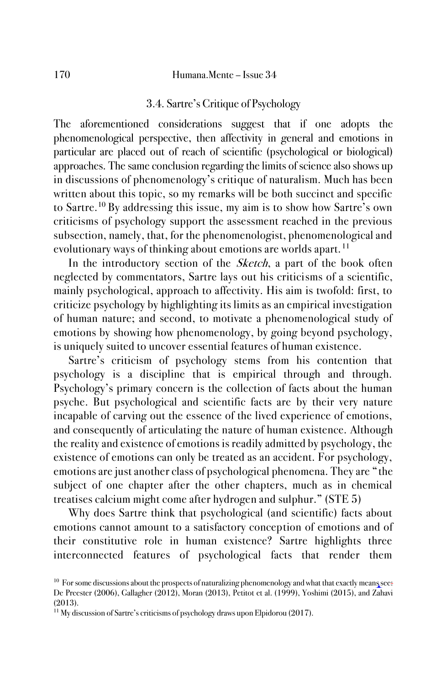### 3.4. Sartre's Critique of Psychology

The aforementioned considerations suggest that if one adopts the phenomenological perspective, then affectivity in general and emotions in particular are placed out of reach of scientific (psychological or biological) approaches. The same conclusion regarding the limits of science also shows up in discussions of phenomenology's critique of naturalism. Much has been written about this topic, so my remarks will be both succinct and specific to Sartre.<sup>10</sup> By addressing this issue, my aim is to show how Sartre's own criticisms of psychology support the assessment reached in the previous subsection, namely, that, for the phenomenologist, phenomenological and evolutionary ways of thinking about emotions are worlds apart. <sup>11</sup>

In the introductory section of the *Sketch*, a part of the book often neglected by commentators, Sartre lays out his criticisms of a scientific, mainly psychological, approach to affectivity. His aim is twofold: first, to criticize psychology by highlighting its limits as an empirical investigation of human nature; and second, to motivate a phenomenological study of emotions by showing how phenomenology, by going beyond psychology, is uniquely suited to uncover essential features of human existence.

Sartre's criticism of psychology stems from his contention that psychology is a discipline that is empirical through and through. Psychology's primary concern is the collection of facts about the human psyche. But psychological and scientific facts are by their very nature incapable of carving out the essence of the lived experience of emotions, and consequently of articulating the nature of human existence. Although the reality and existence of emotions is readily admitted by psychology, the existence of emotions can only be treated as an accident. For psychology, emotions are just another class of psychological phenomena. They are "the subject of one chapter after the other chapters, much as in chemical treatises calcium might come after hydrogen and sulphur." (STE 5)

Why does Sartre think that psychological (and scientific) facts about emotions cannot amount to a satisfactory conception of emotions and of their constitutive role in human existence? Sartre highlights three interconnected features of psychological facts that render them

<sup>&</sup>lt;sup>10</sup> For some discussions about the prospects of naturalizing phenomenology and what that exactly means see: De Preester (2006), Gallagher (2012), Moran (2013), Petitot et al. (1999), Yoshimi (2015), and Zahavi (2013).

<sup>&</sup>lt;sup>11</sup> My discussion of Sartre's criticisms of psychology draws upon Elpidorou (2017).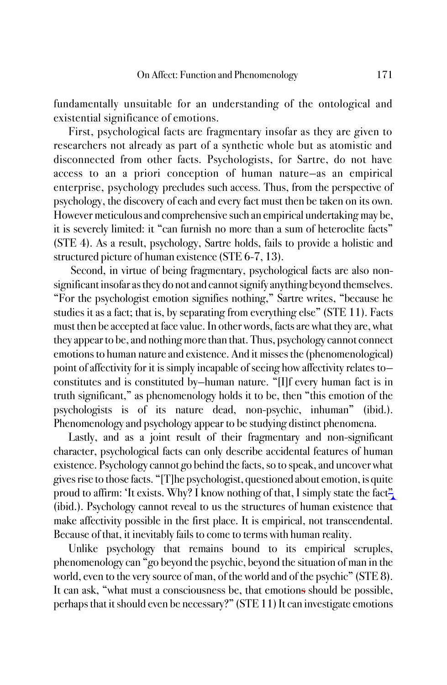fundamentally unsuitable for an understanding of the ontological and existential significance of emotions.

First, psychological facts are fragmentary insofar as they are given to researchers not already as part of a synthetic whole but as atomistic and disconnected from other facts. Psychologists, for Sartre, do not have access to an a priori conception of human nature—as an empirical enterprise, psychology precludes such access. Thus, from the perspective of psychology, the discovery of each and every fact must then be taken on its own. However meticulous and comprehensive such an empirical undertaking may be, it is severely limited: it "can furnish no more than a sum of heteroclite facts" (STE 4). As a result, psychology, Sartre holds, fails to provide a holistic and structured picture of human existence (STE 6-7, 13).

Second, in virtue of being fragmentary, psychological facts are also nonsignificant insofar as they do not and cannot signify anything beyond themselves. "For the psychologist emotion signifies nothing," Sartre writes, "because he studies it as a fact; that is, by separating from everything else" (STE 11). Facts must then be accepted at face value. In other words, facts are what they are, what they appear to be, and nothing more than that. Thus, psychology cannot connect emotions to human nature and existence. And it misses the (phenomenological) point of affectivity for it is simply incapable of seeing how affectivity relates to constitutes and is constituted by—human nature. "[I]f every human fact is in truth significant," as phenomenology holds it to be, then "this emotion of the psychologists is of its nature dead, non-psychic, inhuman" (ibid.). Phenomenology and psychology appear to be studying distinct phenomena.

Lastly, and as a joint result of their fragmentary and non-significant character, psychological facts can only describe accidental features of human existence. Psychology cannot go behind the facts, so to speak, and uncover what gives rise to those facts. "[T]he psychologist, questioned about emotion, is quite proud to affirm: 'It exists. Why? I know nothing of that, I simply state the fact" (ibid.). Psychology cannot reveal to us the structures of human existence that make affectivity possible in the first place. It is empirical, not transcendental. Because of that, it inevitably fails to come to terms with human reality.

Unlike psychology that remains bound to its empirical scruples, phenomenology can "go beyond the psychic, beyond the situation of man in the world, even to the very source of man, of the world and of the psychic" (STE 8). It can ask, "what must a consciousness be, that emotions should be possible, perhaps that it should even be necessary?" (STE 11) It can investigate emotions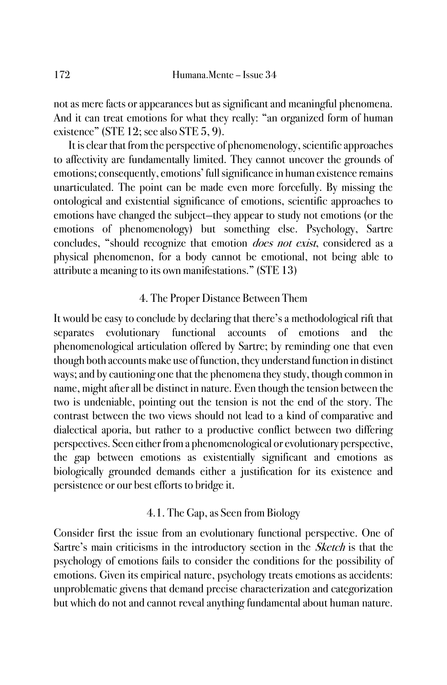not as mere facts or appearances but as significant and meaningful phenomena. And it can treat emotions for what they really: "an organized form of human existence" (STE 12; see also STE 5, 9).

It is clear that from the perspective of phenomenology, scientific approaches to affectivity are fundamentally limited. They cannot uncover the grounds of emotions; consequently, emotions' full significance in human existence remains unarticulated. The point can be made even more forcefully. By missing the ontological and existential significance of emotions, scientific approaches to emotions have changed the subject—they appear to study not emotions (or the emotions of phenomenology) but something else. Psychology, Sartre concludes, "should recognize that emotion *does not exist*, considered as a physical phenomenon, for a body cannot be emotional, not being able to attribute a meaning to its own manifestations." (STE 13)

## 4. The Proper Distance Between Them

It would be easy to conclude by declaring that there's a methodological rift that separates evolutionary functional accounts of emotions and the phenomenological articulation offered by Sartre; by reminding one that even though both accounts make use of function, they understand function in distinct ways; and by cautioning one that the phenomena they study, though common in name, might after all be distinct in nature. Even though the tension between the two is undeniable, pointing out the tension is not the end of the story. The contrast between the two views should not lead to a kind of comparative and dialectical aporia, but rather to a productive conflict between two differing perspectives. Seen either from a phenomenological or evolutionary perspective, the gap between emotions as existentially significant and emotions as biologically grounded demands either a justification for its existence and persistence or our best efforts to bridge it.

# 4.1. The Gap, as Seen from Biology

Consider first the issue from an evolutionary functional perspective. One of Sartre's main criticisms in the introductory section in the Sketch is that the psychology of emotions fails to consider the conditions for the possibility of emotions. Given its empirical nature, psychology treats emotions as accidents: unproblematic givens that demand precise characterization and categorization but which do not and cannot reveal anything fundamental about human nature.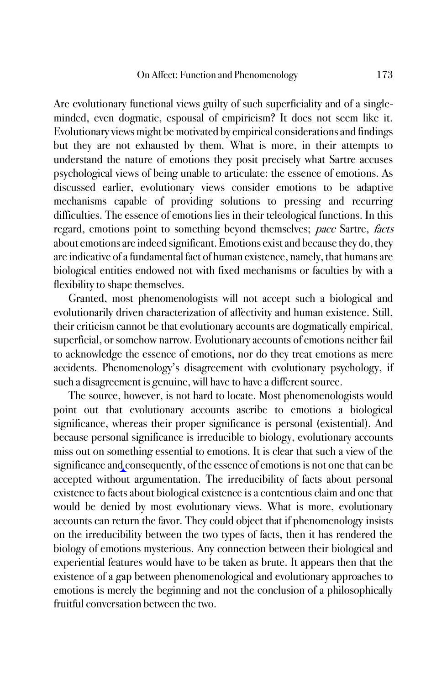Are evolutionary functional views guilty of such superficiality and of a singleminded, even dogmatic, espousal of empiricism? It does not seem like it. Evolutionary views might be motivated by empirical considerations and findings but they are not exhausted by them. What is more, in their attempts to understand the nature of emotions they posit precisely what Sartre accuses psychological views of being unable to articulate: the essence of emotions. As discussed earlier, evolutionary views consider emotions to be adaptive mechanisms capable of providing solutions to pressing and recurring difficulties. The essence of emotions lies in their teleological functions. In this regard, emotions point to something beyond themselves; pace Sartre, facts about emotions are indeed significant. Emotions exist and because they do, they are indicative of a fundamental fact of human existence, namely, that humans are biological entities endowed not with fixed mechanisms or faculties by with a flexibility to shape themselves.

Granted, most phenomenologists will not accept such a biological and evolutionarily driven characterization of affectivity and human existence. Still, their criticism cannot be that evolutionary accounts are dogmatically empirical, superficial, or somehow narrow. Evolutionary accounts of emotions neither fail to acknowledge the essence of emotions, nor do they treat emotions as mere accidents. Phenomenology's disagreement with evolutionary psychology, if such a disagreement is genuine, will have to have a different source.

The source, however, is not hard to locate. Most phenomenologists would point out that evolutionary accounts ascribe to emotions a biological significance, whereas their proper significance is personal (existential). And because personal significance is irreducible to biology, evolutionary accounts miss out on something essential to emotions. It is clear that such a view of the significance and consequently, of the essence of emotions is not one that can be accepted without argumentation. The irreducibility of facts about personal existence to facts about biological existence is a contentious claim and one that would be denied by most evolutionary views. What is more, evolutionary accounts can return the favor. They could object that if phenomenology insists on the irreducibility between the two types of facts, then it has rendered the biology of emotions mysterious. Any connection between their biological and experiential features would have to be taken as brute. It appears then that the existence of a gap between phenomenological and evolutionary approaches to emotions is merely the beginning and not the conclusion of a philosophically fruitful conversation between the two.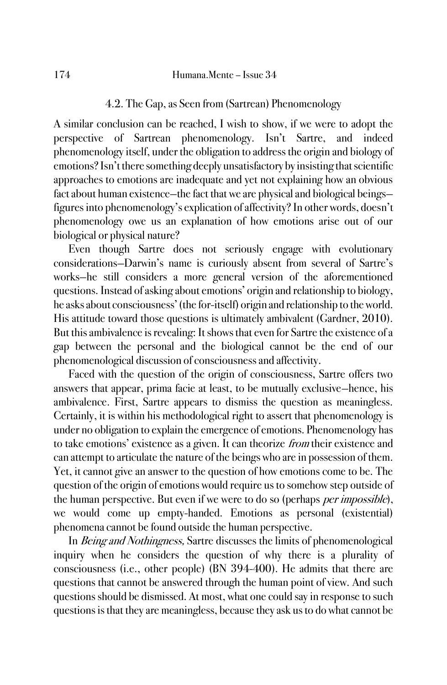## 4.2. The Gap, as Seen from (Sartrean) Phenomenology

A similar conclusion can be reached, I wish to show, if we were to adopt the perspective of Sartrean phenomenology. Isn't Sartre, and indeed phenomenology itself, under the obligation to address the origin and biology of emotions? Isn't there something deeply unsatisfactory by insisting that scientific approaches to emotions are inadequate and yet not explaining how an obvious fact about human existence—the fact that we are physical and biological beings figures into phenomenology's explication of affectivity? In other words, doesn't phenomenology owe us an explanation of how emotions arise out of our biological or physical nature?

Even though Sartre does not seriously engage with evolutionary considerations—Darwin's name is curiously absent from several of Sartre's works—he still considers a more general version of the aforementioned questions. Instead of asking about emotions' origin and relationship to biology, he asks about consciousness' (the for-itself) origin and relationship to the world. His attitude toward those questions is ultimately ambivalent (Gardner, 2010). But this ambivalence is revealing: It shows that even for Sartre the existence of a gap between the personal and the biological cannot be the end of our phenomenological discussion of consciousness and affectivity.

Faced with the question of the origin of consciousness, Sartre offers two answers that appear, prima facie at least, to be mutually exclusive—hence, his ambivalence. First, Sartre appears to dismiss the question as meaningless. Certainly, it is within his methodological right to assert that phenomenology is under no obligation to explain the emergence of emotions. Phenomenology has to take emotions' existence as a given. It can theorize *from* their existence and can attempt to articulate the nature of the beings who are in possession of them. Yet, it cannot give an answer to the question of how emotions come to be. The question of the origin of emotions would require us to somehow step outside of the human perspective. But even if we were to do so (perhaps *per impossible*), we would come up empty-handed. Emotions as personal (existential) phenomena cannot be found outside the human perspective.

In Being and Nothingness, Sartre discusses the limits of phenomenological inquiry when he considers the question of why there is a plurality of consciousness (i.e., other people) (BN 394-400). He admits that there are questions that cannot be answered through the human point of view. And such questions should be dismissed. At most, what one could say in response to such questions is that they are meaningless, because they ask us to do what cannot be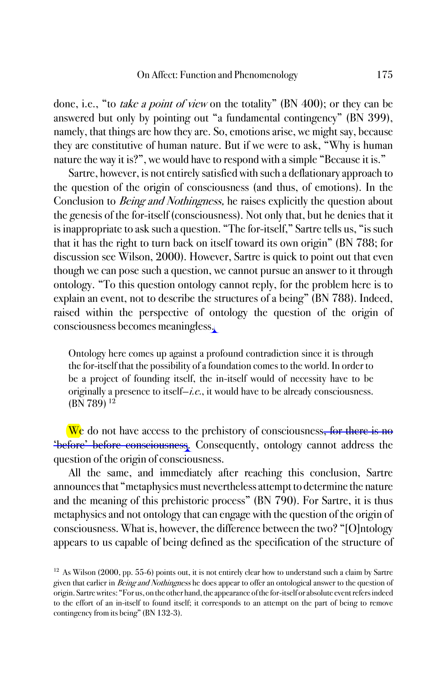done, i.e., "to take a point of view on the totality" (BN 400); or they can be answered but only by pointing out "a fundamental contingency" (BN 399), namely, that things are how they are. So, emotions arise, we might say, because they are constitutive of human nature. But if we were to ask, "Why is human nature the way it is?", we would have to respond with a simple "Because it is."

Sartre, however, is not entirely satisfied with such a deflationary approach to the question of the origin of consciousness (and thus, of emotions). In the Conclusion to *Being and Nothingness*, he raises explicitly the question about the genesis of the for-itself (consciousness). Not only that, but he denies that it is inappropriate to ask such a question. "The for-itself," Sartre tells us, "is such that it has the right to turn back on itself toward its own origin" (BN 788; for discussion see Wilson, 2000). However, Sartre is quick to point out that even though we can pose such a question, we cannot pursue an answer to it through ontology. "To this question ontology cannot reply, for the problem here is to explain an event, not to describe the structures of a being" (BN 788). Indeed, raised within the perspective of ontology the question of the origin of consciousness becomes meaningless.

Ontology here comes up against a profound contradiction since it is through the for-itself that the possibility of a foundation comes to the world. In order to be a project of founding itself, the in-itself would of necessity have to be originally a presence to itself—i.e., it would have to be already consciousness. (BN 789) <sup>12</sup>

We do not have access to the prehistory of consciousness<del>, for there is no</del> 'before' before consciousness. Consequently, ontology cannot address the question of the origin of consciousness.

All the same, and immediately after reaching this conclusion, Sartre announces that "metaphysics must nevertheless attempt to determine the nature and the meaning of this prehistoric process" (BN 790). For Sartre, it is thus metaphysics and not ontology that can engage with the question of the origin of consciousness. What is, however, the difference between the two? "[O]ntology appears to us capable of being defined as the specification of the structure of

 $12$  As Wilson (2000, pp. 55-6) points out, it is not entirely clear how to understand such a claim by Sartre given that earlier in Being and Nothingness he does appear to offer an ontological answer to the question of origin. Sartre writes: "For us, on the other hand, the appearance of the for-itself or absolute event refers indeed to the effort of an in-itself to found itself; it corresponds to an attempt on the part of being to remove contingency from its being" (BN 132-3).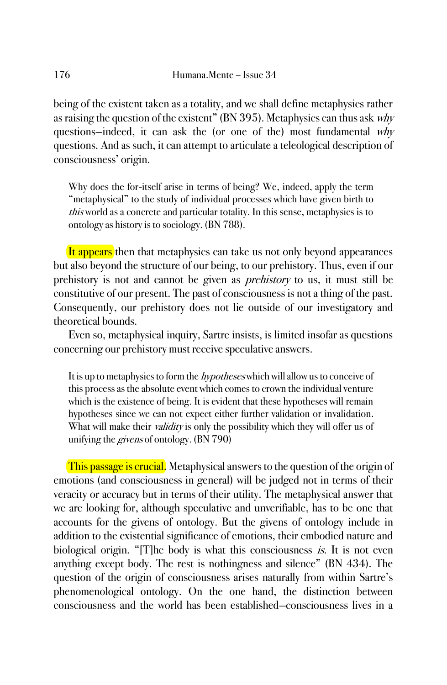being of the existent taken as a totality, and we shall define metaphysics rather as raising the question of the existent" (BN 395). Metaphysics can thus ask  $whv$ questions—indeed, it can ask the (or one of the) most fundamental why questions. And as such, it can attempt to articulate a teleological description of consciousness' origin.

Why does the for-itself arise in terms of being? We, indeed, apply the term "metaphysical" to the study of individual processes which have given birth to this world as a concrete and particular totality. In this sense, metaphysics is to ontology as history is to sociology. (BN 788).

It appears then that metaphysics can take us not only beyond appearances but also beyond the structure of our being, to our prehistory. Thus, even if our prehistory is not and cannot be given as prehistory to us, it must still be constitutive of our present. The past of consciousness is not a thing of the past. Consequently, our prehistory does not lie outside of our investigatory and theoretical bounds.

Even so, metaphysical inquiry, Sartre insists, is limited insofar as questions concerning our prehistory must receive speculative answers.

It is up to metaphysics to form the *hypotheses* which will allow us to conceive of this process as the absolute event which comes to crown the individual venture which is the existence of being. It is evident that these hypotheses will remain hypotheses since we can not expect either further validation or invalidation. What will make their *validity* is only the possibility which they will offer us of unifying the givens of ontology. (BN 790)

This passage is crucial. Metaphysical answers to the question of the origin of emotions (and consciousness in general) will be judged not in terms of their veracity or accuracy but in terms of their utility. The metaphysical answer that we are looking for, although speculative and unverifiable, has to be one that accounts for the givens of ontology. But the givens of ontology include in addition to the existential significance of emotions, their embodied nature and biological origin. "[T]he body is what this consciousness *is*. It is not even anything except body. The rest is nothingness and silence" (BN 434). The question of the origin of consciousness arises naturally from within Sartre's phenomenological ontology. On the one hand, the distinction between consciousness and the world has been established—consciousness lives in a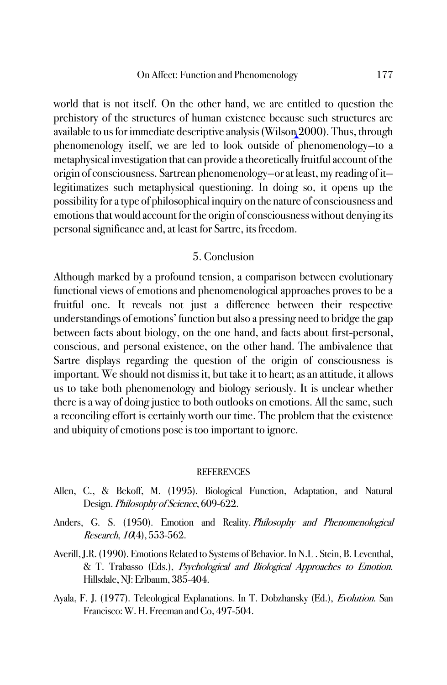world that is not itself. On the other hand, we are entitled to question the prehistory of the structures of human existence because such structures are available to us for immediate descriptive analysis (Wilson 2000). Thus, through phenomenology itself, we are led to look outside of phenomenology—to a metaphysical investigation that can provide a theoretically fruitful account of the origin of consciousness. Sartrean phenomenology—or at least, my reading of it legitimatizes such metaphysical questioning. In doing so, it opens up the possibility for a type of philosophical inquiry on the nature of consciousness and emotions that would account for the origin of consciousness without denying its personal significance and, at least for Sartre, its freedom.

### 5. Conclusion

Although marked by a profound tension, a comparison between evolutionary functional views of emotions and phenomenological approaches proves to be a fruitful one. It reveals not just a difference between their respective understandings of emotions' function but also a pressing need to bridge the gap between facts about biology, on the one hand, and facts about first-personal, conscious, and personal existence, on the other hand. The ambivalence that Sartre displays regarding the question of the origin of consciousness is important. We should not dismiss it, but take it to heart; as an attitude, it allows us to take both phenomenology and biology seriously. It is unclear whether there is a way of doing justice to both outlooks on emotions. All the same, such a reconciling effort is certainly worth our time. The problem that the existence and ubiquity of emotions pose is too important to ignore.

#### **REFERENCES**

- Allen, C., & Bekoff, M. (1995). Biological Function, Adaptation, and Natural Design. Philosophy of Science, 609-622.
- Anders, G. S. (1950). Emotion and Reality. Philosophy and Phenomenological Research, 10(4), 553-562.
- Averill, J.R. (1990). Emotions Related to Systems of Behavior. In N.L . Stein, B. Leventhal, & T. Trabasso (Eds.), Psychological and Biological Approaches to Emotion. Hillsdale, NJ: Erlbaum, 385-404.
- Ayala, F. J. (1977). Teleological Explanations. In T. Dobzhansky (Ed.), Evolution. San Francisco: W. H. Freeman and Co, 497-504.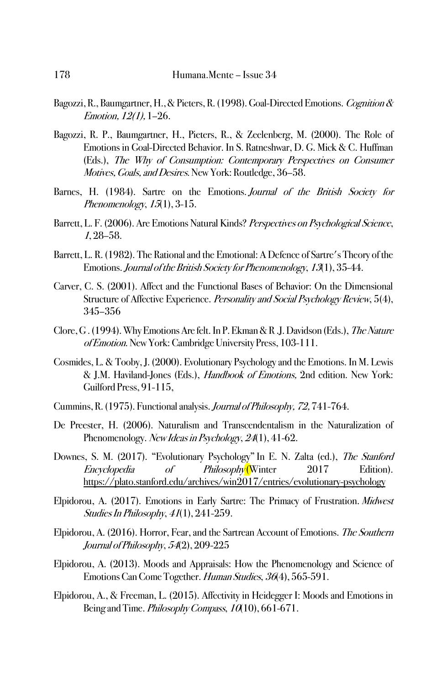- Bagozzi, R., Baumgartner, H., & Pieters, R. (1998). Goal-Directed Emotions. Cognition & Emotion, 12(1), 1–26.
- Bagozzi, R. P., Baumgartner, H., Pieters, R., & Zeelenberg, M. (2000). The Role of Emotions in Goal-Directed Behavior. In S. Ratneshwar, D. G. Mick & C. Huffman (Eds.), The Why of Consumption: Contemporary Perspectives on Consumer Motives, Goals, and Desires. New York: Routledge, 36–58.
- Barnes, H. (1984). Sartre on the Emotions. Journal of the British Society for Phenomenology, 15(1), 3-15.
- Barrett, L. F. (2006). Are Emotions Natural Kinds? Perspectives on Psychological Science, 1, 28–58.
- Barrett, L. R. (1982). The Rational and the Emotional: A Defence of Sartre's Theory of the Emotions.Journal of the British Society for Phenomenology, <sup>13</sup>(1), 35-44.
- Carver, C. S. (2001). Affect and the Functional Bases of Behavior: On the Dimensional Structure of Affective Experience. Personality and Social Psychology Review, 5(4), 345–356
- Clore, G . (1994). Why Emotions Are felt. In P. Ekman & R .J. Davidson (Eds.), The Nature of Emotion. New York: Cambridge University Press, 103-111.
- Cosmides, L. & Tooby, J. (2000). Evolutionary Psychology and the Emotions. In M. Lewis & J.M. Haviland-Jones (Eds.), Handbook of Emotions, 2nd edition. New York: Guilford Press, 91-115,
- Cummins, R. (1975). Functional analysis. Journal of Philosophy, 72, 741-764.
- De Preester, H. (2006). Naturalism and Transcendentalism in the Naturalization of Phenomenology. New Ideas in Psychology, 24(1), 41-62.
- Downes, S. M. (2017). "Evolutionary Psychology" In E. N. Zalta (ed.), The Stanford Encyclopedia of Philosophy<sup>(</sup>Winter 2017 Edition). https://plato.stanford.edu/archives/win2017/entries/evolutionary-psychology
- Elpidorou, A. (2017). Emotions in Early Sartre: The Primacy of Frustration. Midwest Studies In Philosophy, <sup>41</sup>(1), 241-259.
- Elpidorou, A. (2016). Horror, Fear, and the Sartrean Account of Emotions. The Southern Journal of Philosophy, 54(2), 209-225
- Elpidorou, A. (2013). Moods and Appraisals: How the Phenomenology and Science of Emotions Can Come Together. Human Studies, 36(4), 565-591.
- Elpidorou, A., & Freeman, L. (2015). Affectivity in Heidegger I: Moods and Emotions in Being and Time. Philosophy Compass, 10(10), 661-671.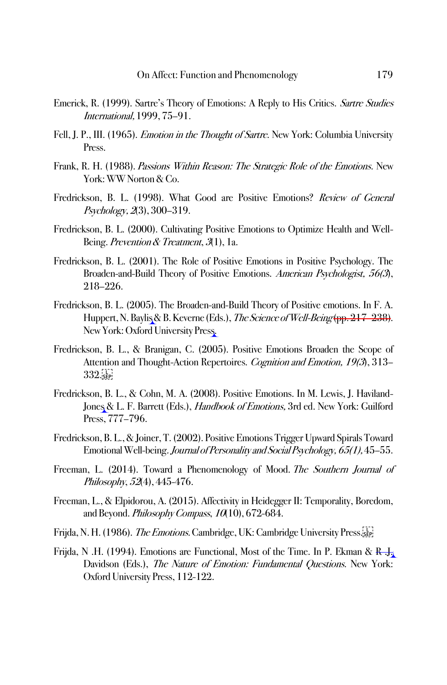- Emerick, R. (1999). Sartre's Theory of Emotions: A Reply to His Critics. Sartre Studies International, 1999, 75–91.
- Fell, J. P., III. (1965). *Emotion in the Thought of Sartre*. New York: Columbia University Press.
- Frank, R. H. (1988). Passions Within Reason: The Strategic Role of the Emotions. New York: WW Norton & Co.
- Fredrickson, B. L. (1998). What Good are Positive Emotions? Review of General Psychology, 2(3), 300–319.
- Fredrickson, B. L. (2000). Cultivating Positive Emotions to Optimize Health and Well-Being. Prevention & Treatment, 3(1), 1a.
- Fredrickson, B. L. (2001). The Role of Positive Emotions in Positive Psychology. The Broaden-and-Build Theory of Positive Emotions. American Psychologist, 56(3), 218–226.
- Fredrickson, B. L. (2005). The Broaden-and-Build Theory of Positive emotions. In F. A. Huppert, N. Baylis & B. Keverne (Eds.), The Science of Well-Being (pp. 217–238). New York: Oxford University Press.
- Fredrickson, B. L., & Branigan, C. (2005). Positive Emotions Broaden the Scope of Attention and Thought-Action Repertoires. Cognition and Emotion, 19(3), 313- $332.5P$
- Fredrickson, B. L., & Cohn, M. A. (2008). Positive Emotions. In M. Lewis, J. Haviland-Jones & L. F. Barrett (Eds.), Handbook of Emotions, 3rd ed. New York: Guilford Press, 777–796.
- Fredrickson, B. L., & Joiner, T. (2002). Positive Emotions Trigger Upward Spirals Toward Emotional Well-being. Journal of Personality and Social Psychology, 65(1),45–55.
- Freeman, L. (2014). Toward a Phenomenology of Mood. The Southern Journal of Philosophy, 52(4), 445-476.
- Freeman, L., & Elpidorou, A. (2015). Affectivity in Heidegger II: Temporality, Boredom, and Beyond. Philosophy Compass, 10(10), 672-684.
- Frijda, N. H. (1986). *The Emotions.* Cambridge, UK: Cambridge University Press.<sup>15</sup>
- Frijda, N .H. (1994). Emotions are Functional, Most of the Time. In P. Ekman &  $R_{\rm b}$ . Davidson (Eds.), The Nature of Emotion: Fundamental Questions. New York: Oxford University Press, 112-122.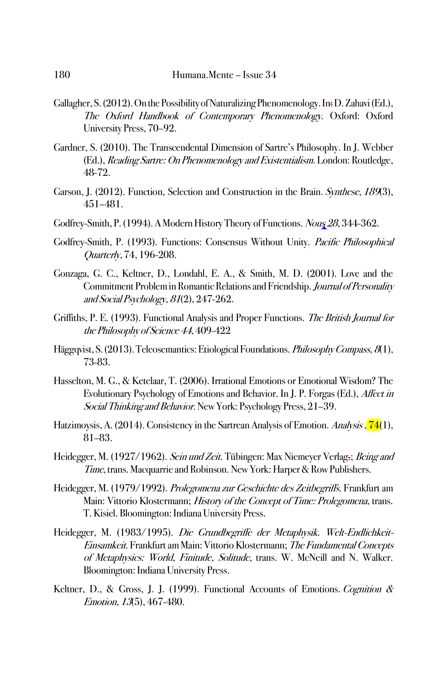- Gallagher, S. (2012). On the Possibility of Naturalizing Phenomenology. In: D. Zahavi (Ed.), The Oxford Handbook of Contemporary Phenomenology. Oxford: Oxford University Press, 70–92.
- Gardner, S. (2010). The Transcendental Dimension of Sartre's Philosophy. In J. Webber (Ed.), Reading Sartre: On Phenomenology and Existentialism. London: Routledge, 48-72.
- Garson, J. (2012). Function, Selection and Construction in the Brain. Synthese, 189(3), 451–481.
- Godfrey-Smith, P. (1994). A Modern History Theory of Functions. Nous 28, 344-362.
- Godfrey-Smith, P. (1993). Functions: Consensus Without Unity. Pacific Philosophical Quarterly, 74, 196-208.
- Gonzaga, G. C., Keltner, D., Londahl, E. A., & Smith, M. D. (2001). Love and the Commitment Problem in Romantic Relations and Friendship. Journal of Personality and Social Psychology, <sup>81</sup>(2), 247-262.
- Griffiths, P. E. (1993). Functional Analysis and Proper Functions. The British Journal for the Philosophy of Science 44, 409-422
- Häggqvist, S. (2013). Teleosemantics: Etiological Foundations. *Philosophy Compass*, 8(1), 73-83.
- Hasselton, M. G., & Ketelaar, T. (2006). Irrational Emotions or Emotional Wisdom? The Evolutionary Psychology of Emotions and Behavior. In J. P. Forgas (Ed.), Affect in Social Thinking and Behavior. New York: Psychology Press, 21-39.
- Hatzimoysis, A. (2014). Consistency in the Sartrean Analysis of Emotion. Analysis, <sup>74</sup>(1), 81–83.
- Heidegger, M. (1927/1962). Sein und Zeit. Tübingen: Max Niemeyer Verlag.; Being and Time, trans. Macquarrie and Robinson. New York: Harper & Row Publishers.
- Heidegger, M. (1979/1992). Prolegomena zur Geschichte des Zeitbegriffs. Frankfurt am Main: Vittorio Klostermann; History of the Concept of Time: Prolegomena, trans. T. Kisiel. Bloomington: Indiana University Press.
- Heidegger, M. (1983/1995). Die Grundbegriffe der Metaphysik. Welt-Endlichkeit-Einsamkeit. Frankfurt am Main: Vittorio Klostermann; The Fundamental Concepts of Metaphysics: World, Finitude, Solitude, trans. W. McNeill and N. Walker. Bloomington: Indiana University Press.
- Keltner, D., & Gross, J. J. (1999). Functional Accounts of Emotions. Cognition & Emotion, 13(5), 467-480.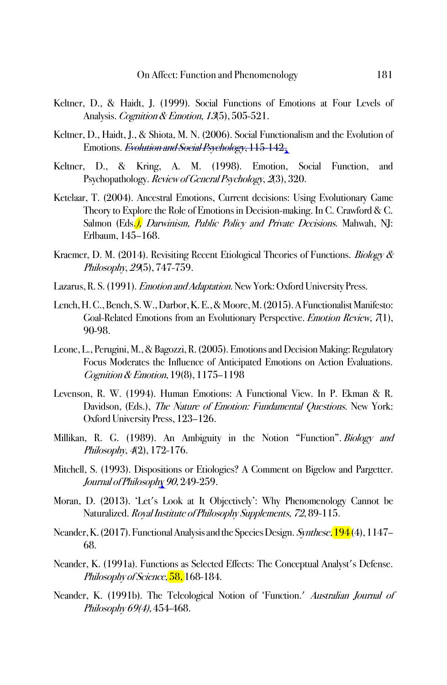- Keltner, D., & Haidt, J. (1999). Social Functions of Emotions at Four Levels of Analysis. *Cognition & Emotion, 13*(5), 505-521.
- Keltner, D., Haidt, J., & Shiota, M. N. (2006). Social Functionalism and the Evolution of Emotions. *Evolution and Social Psychology*, 115-142.
- Keltner, D., & Kring, A. M. (1998). Emotion, Social Function, and Psychopathology. Review of General Psychology, 2(3), 320.
- Ketelaar, T. (2004). Ancestral Emotions, Current decisions: Using Evolutionary Game Theory to Explore the Role of Emotions in Decision-making. In C. Crawford & C. Salmon (Eds.), *Darwinism, Public Policy and Private Decisions*. Mahwah, NJ: Erlbaum, 145–168.
- Kraemer, D. M. (2014). Revisiting Recent Etiological Theories of Functions. *Biology &* Philosophy, 29(5), 747-759.
- Lazarus, R. S. (1991). Emotion and Adaptation. New York: Oxford University Press.
- Lench, H. C., Bench, S. W., Darbor, K. E., & Moore, M. (2015). A Functionalist Manifesto: Goal-Related Emotions from an Evolutionary Perspective. Emotion Review, 7(1), 90-98.
- Leone, L., Perugini, M., & Bagozzi, R. (2005). Emotions and Decision Making: Regulatory Focus Moderates the Influence of Anticipated Emotions on Action Evaluations. Cognition & Emotion, 19(8), 1175–1198
- Levenson, R. W. (1994). Human Emotions: A Functional View. In P. Ekman & R. Davidson, (Eds.), The Nature of Emotion: Fundamental Questions. New York: Oxford University Press, 123–126.
- Millikan, R. G. (1989). An Ambiguity in the Notion "Function". Biology and Philosophy, <sup>4</sup>(2), 172-176.
- Mitchell, S. (1993). Dispositions or Etiologies? A Comment on Bigelow and Pargetter. Journal of Philosophy 90, 249-259.
- Moran, D. (2013). 'Let's Look at It Objectively': Why Phenomenology Cannot be Naturalized. Royal Institute of Philosophy Supplements, 72,89-115.
- Neander, K. (2017). Functional Analysis and the Species Design. Synthese, 194(4), 1147– 68.
- Neander, K. (1991a). Functions as Selected Effects: The Conceptual Analyst's Defense. Philosophy of Science, 58, 168-184.
- Neander, K. (1991b). The Teleological Notion of 'Function.' Australian Journal of Philosophy 69(4), 454-468.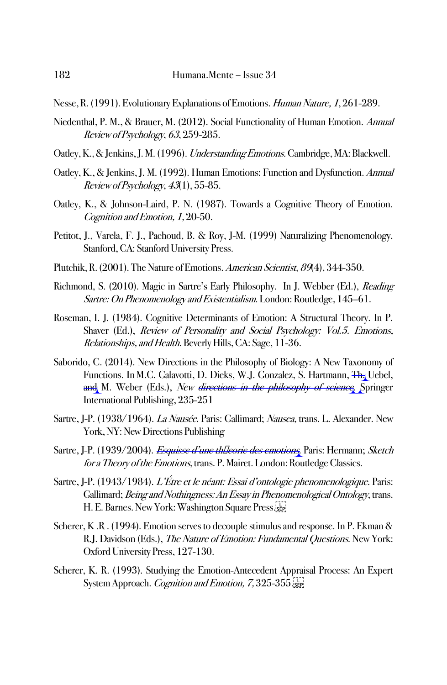Nesse, R. (1991). Evolutionary Explanations of Emotions. Human Nature, 1, 261-289.

- Niedenthal, P. M., & Brauer, M. (2012). Social Functionality of Human Emotion. Annual Review of Psychology, <sup>63</sup>, 259-285.
- Oatley, K., & Jenkins, J. M. (1996). Understanding Emotions. Cambridge, MA: Blackwell.
- Oatley, K., & Jenkins, J. M. (1992). Human Emotions: Function and Dysfunction.Annual Review of Psychology, <sup>43</sup>(1), 55-85.
- Oatley, K., & Johnson-Laird, P. N. (1987). Towards a Cognitive Theory of Emotion. Cognition and Emotion, 1, 20-50.
- Petitot, J., Varela, F. J., Pachoud, B. & Roy, J-M. (1999) Naturalizing Phenomenology. Stanford, CA: Stanford University Press.
- Plutchik, R. (2001). The Nature of Emotions. American Scientist, 89(4), 344-350.
- Richmond, S. (2010). Magic in Sartre's Early Philosophy. In J. Webber (Ed.), Reading Sartre: On Phenomenology and Existentialism. London: Routledge, 145–61.
- Roseman, I. J. (1984). Cognitive Determinants of Emotion: A Structural Theory. In P. Shaver (Ed.), Review of Personality and Social Psychology: Vol.5. Emotions, Relationships, and Health. Beverly Hills, CA: Sage, 11-36.
- Saborido, C. (2014). New Directions in the Philosophy of Biology: A New Taxonomy of Functions. In M.C. Galavotti, D. Dieks, W.J. Gonzalez, S. Hartmann, Th. Uebel, and M. Weber (Eds.), New directions in the philosophy of science. Springer International Publishing, 235-251
- Sartre, J-P. (1938/1964). La Nausée. Paris: Gallimard; Nausea, trans. L. Alexander. New York, NY: New Directions Publishing
- Sartre, J-P. (1939/2004). *Esquisse d'une theorie des emotions*. Paris: Hermann; Sketch for a Theory of the Emotions, trans. P. Mairet. London: Routledge Classics.
- Sartre, J-P. (1943/1984). L'Étre et le néant: Essai d'ontologie phenomenologique. Paris: Gallimard; Being and Nothingness: An Essay in Phenomenological Ontology, trans. H. E. Barnes. New York: Washington Square Press.
- Scherer, K .R . (1994). Emotion serves to decouple stimulus and response. In P. Ekman & R.J. Davidson (Eds.), The Nature of Emotion: Fundamental Questions. New York: Oxford University Press, 127-130.
- Scherer, K. R. (1993). Studying the Emotion-Antecedent Appraisal Process: An Expert System Approach. *Cognition and Emotion*, 7, 325-355.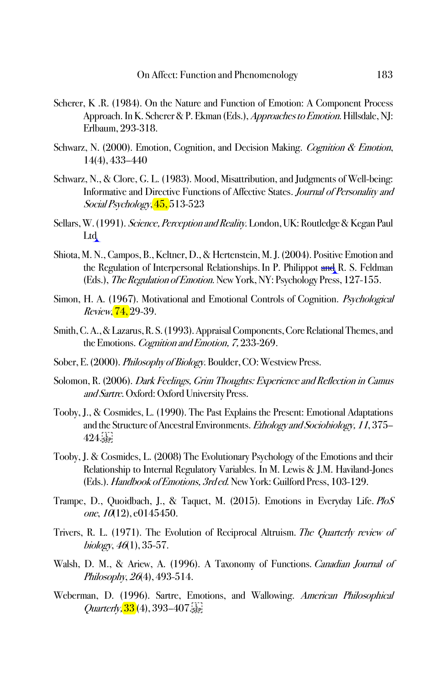- Scherer, K .R. (1984). On the Nature and Function of Emotion: A Component Process Approach. In K. Scherer & P. Ekman (Eds.), *Approaches to Emotion*. Hillsdale, NI: Erlbaum, 293-318.
- Schwarz, N. (2000). Emotion, Cognition, and Decision Making. Cognition & Emotion, 14(4), 433–440
- Schwarz, N., & Clore, G. L. (1983). Mood, Misattribution, and Judgments of Well-being: Informative and Directive Functions of Affective States. Journal of Personality and Social Psychology, 45, 513-523
- Sellars, W. (1991). Science, Perception and Reality. London, UK: Routledge & Kegan Paul Ltd
- Shiota, M. N., Campos, B., Keltner, D., & Hertenstein, M. J. (2004). Positive Emotion and the Regulation of Interpersonal Relationships. In P. Philippot and R. S. Feldman (Eds.), The Regulation of Emotion. New York, NY: Psychology Press, 127-155.
- Simon, H. A. (1967). Motivational and Emotional Controls of Cognition. Psychological Review, **74,** 29-39.
- Smith, C. A., & Lazarus, R. S. (1993). Appraisal Components, Core Relational Themes, and the Emotions. Cognition and Emotion, 7, 233-269.
- Sober, E. (2000). Philosophy of Biology. Boulder, CO: Westview Press.
- Solomon, R. (2006). Dark Feelings, Grim Thoughts: Experience and Reflection in Camus and Sartre. Oxford: Oxford University Press.
- Tooby, J., & Cosmides, L. (1990). The Past Explains the Present: Emotional Adaptations and the Structure of Ancestral Environments. Ethology and Sociobiology, 11, 375– 424. SEP
- Tooby, J. & Cosmides, L. (2008) The Evolutionary Psychology of the Emotions and their Relationship to Internal Regulatory Variables. In M. Lewis & J.M. Haviland-Jones (Eds.).Handbook of Emotions, 3rd ed. New York: Guilford Press, 103-129.
- Trampe, D., Quoidbach, J., & Taquet, M. (2015). Emotions in Everyday Life. PloS one,  $10(12)$ , e0145450.
- Trivers, R. L. (1971). The Evolution of Reciprocal Altruism. The Quarterly review of biology,  $46(1)$ , 35-57.
- Walsh, D. M., & Ariew, A. (1996). A Taxonomy of Functions. Canadian Journal of Philosophy, <sup>26</sup>(4), 493-514.
- Weberman, D. (1996). Sartre, Emotions, and Wallowing. American Philosophical *Quarterly*,  $\frac{33}{4}$ ,  $\frac{393}{407}$ .